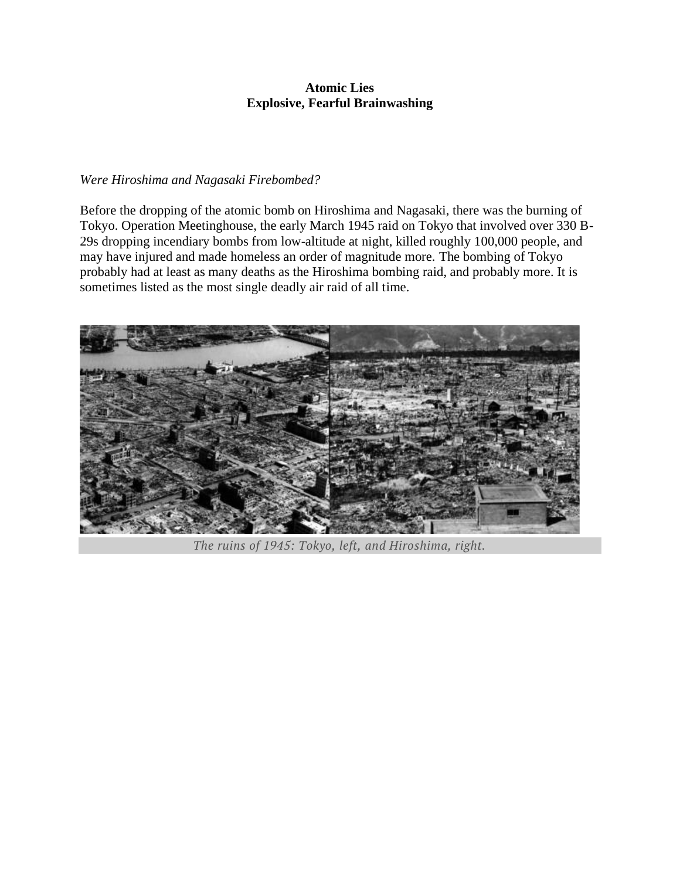## **Atomic Lies Explosive, Fearful Brainwashing**

## *Were Hiroshima and Nagasaki Firebombed?*

Before the dropping of the atomic bomb on Hiroshima and Nagasaki, there was the burning of Tokyo. Operation Meetinghouse, the early March 1945 raid on Tokyo that involved over 330 B-29s dropping incendiary bombs from low-altitude at night, killed roughly 100,000 people, and may have injured and made homeless an order of magnitude more. The bombing of Tokyo probably had at least as many deaths as the Hiroshima bombing raid, and probably more. It is sometimes listed as the most single deadly air raid of all time.



*The ruins of 1945: Tokyo, left, and Hiroshima, right.*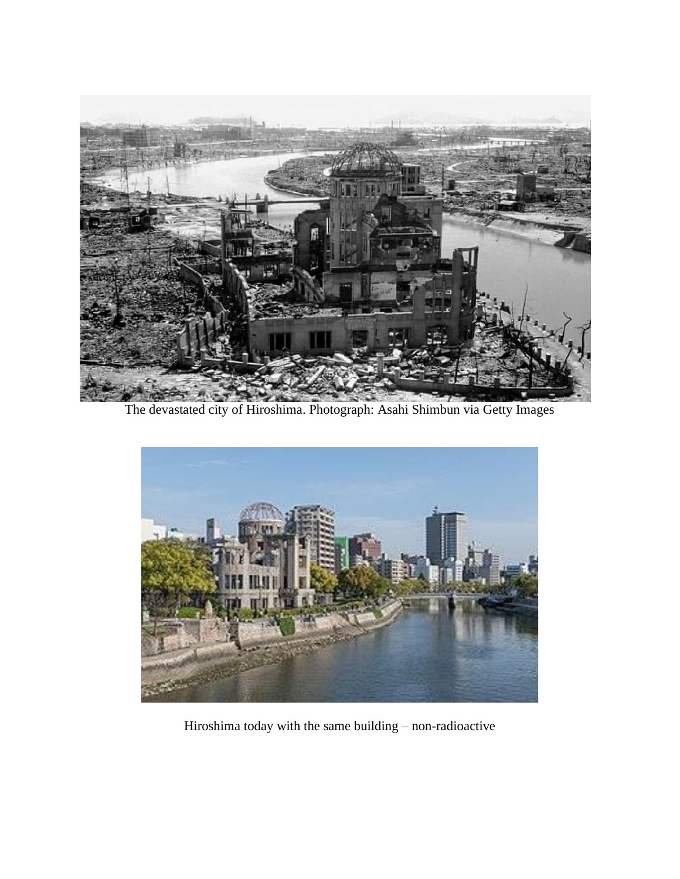

The devastated city of Hiroshima. Photograph: Asahi Shimbun via Getty Images



Hiroshima today with the same building – non-radioactive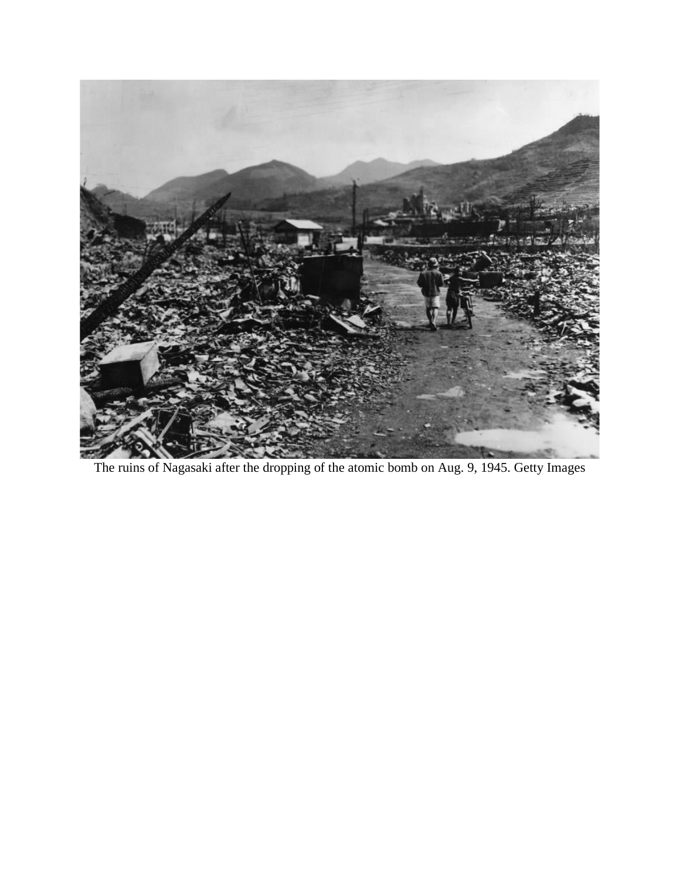

The ruins of Nagasaki after the dropping of the atomic bomb on Aug. 9, 1945. Getty Images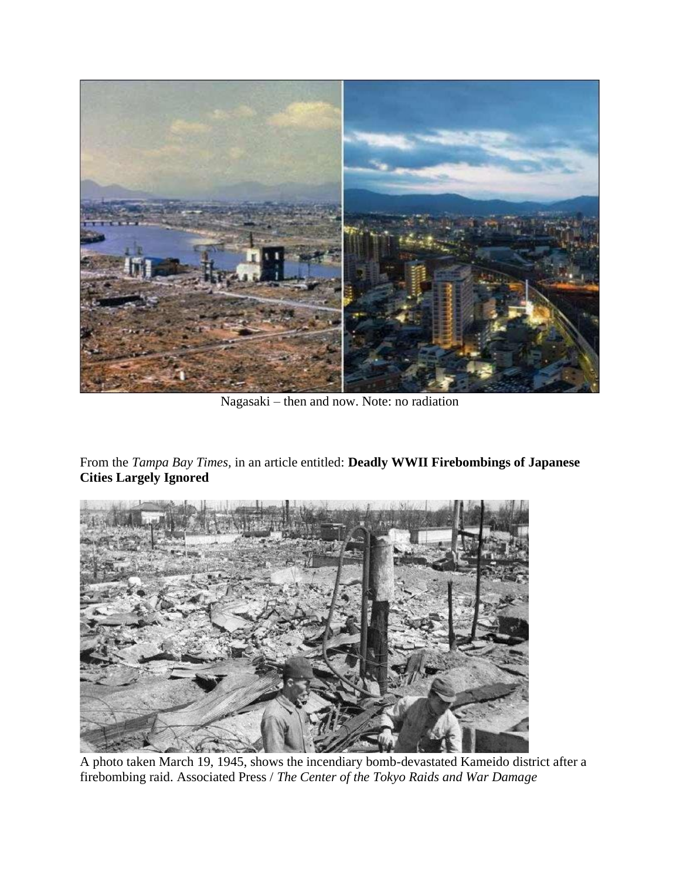

Nagasaki – then and now. Note: no radiation

From the *Tampa Bay Times,* in an article entitled: **Deadly WWII Firebombings of Japanese Cities Largely Ignored**



A photo taken March 19, 1945, shows the incendiary bomb-devastated Kameido district after a firebombing raid. Associated Press / *The Center of the Tokyo Raids and War Damage*